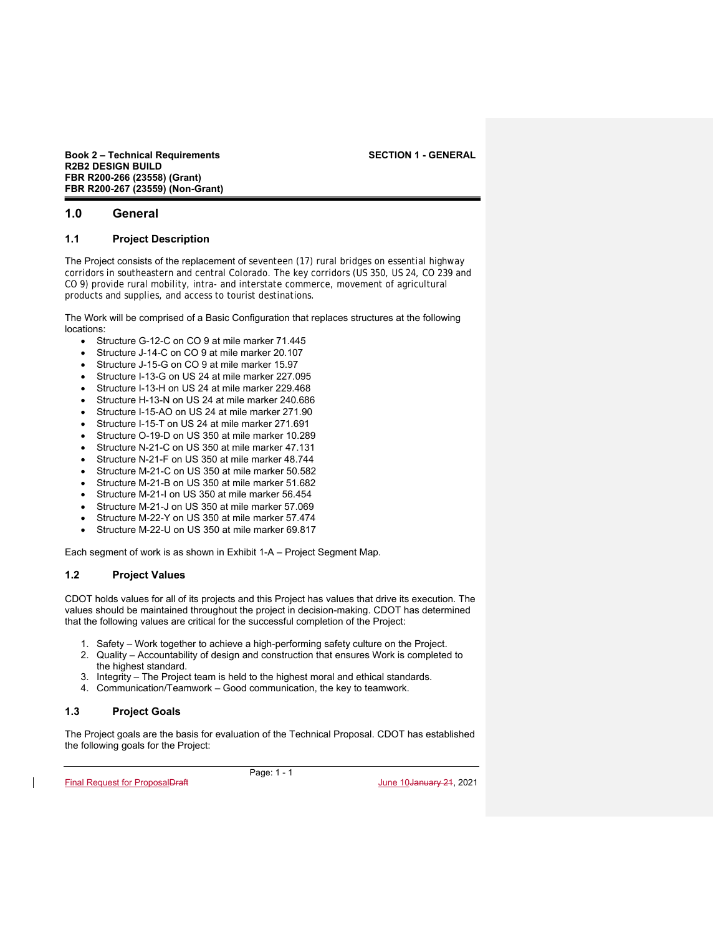# **1.0 General**

## **1.1 Project Description**

The Project consists of the replacement of seventeen (17) rural bridges on essential highway corridors in southeastern and central Colorado. The key corridors (US 350, US 24, CO 239 and CO 9) provide rural mobility, intra- and interstate commerce, movement of agricultural products and supplies, and access to tourist destinations.

The Work will be comprised of a Basic Configuration that replaces structures at the following locations:

- Structure G-12-C on CO 9 at mile marker 71.445
- Structure J-14-C on CO 9 at mile marker 20.107
- Structure J-15-G on CO 9 at mile marker 15.97
- Structure I-13-G on US 24 at mile marker 227.095
- Structure I-13-H on US 24 at mile marker 229.468
- Structure H-13-N on US 24 at mile marker 240.686
- Structure I-15-AO on US 24 at mile marker 271.90
- Structure I-15-T on US 24 at mile marker 271.691
- Structure O-19-D on US 350 at mile marker 10.289
- Structure N-21-C on US 350 at mile marker 47.131
- Structure N-21-F on US 350 at mile marker 48.744
- Structure M-21-C on US 350 at mile marker 50.582
- Structure M-21-B on US 350 at mile marker 51.682
- Structure M-21-I on US 350 at mile marker 56.454
- Structure M-21-J on US 350 at mile marker 57.069
- Structure M-22-Y on US 350 at mile marker 57.474
- Structure M-22-U on US 350 at mile marker 69.817

Each segment of work is as shown in Exhibit 1-A – Project Segment Map.

# **1.2 Project Values**

CDOT holds values for all of its projects and this Project has values that drive its execution. The values should be maintained throughout the project in decision-making. CDOT has determined that the following values are critical for the successful completion of the Project:

- 1. Safety Work together to achieve a high-performing safety culture on the Project.
- 2. Quality Accountability of design and construction that ensures Work is completed to the highest standard.
- 3. Integrity The Project team is held to the highest moral and ethical standards.
- 4. Communication/Teamwork Good communication, the key to teamwork.

# **1.3 Project Goals**

The Project goals are the basis for evaluation of the Technical Proposal. CDOT has established the following goals for the Project:

Page: 1 - 1

Final Request for ProposalDraft June 10January 21, 2021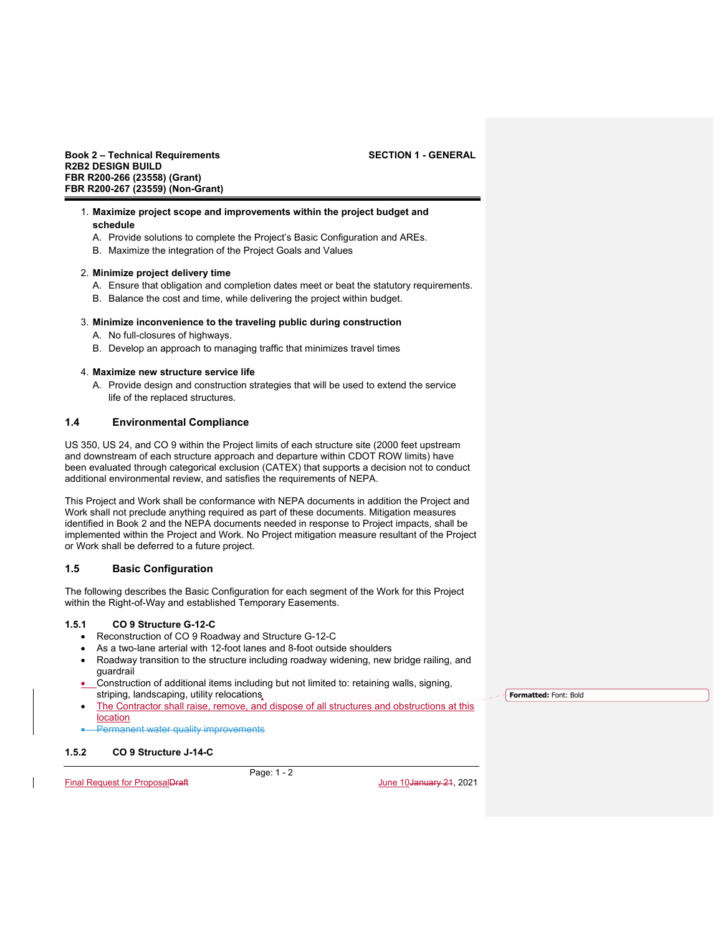### 1. **Maximize project scope and improvements within the project budget and schedule**

- A. Provide solutions to complete the Project's Basic Configuration and AREs.
- B. Maximize the integration of the Project Goals and Values

### 2. **Minimize project delivery time**

- A. Ensure that obligation and completion dates meet or beat the statutory requirements.
- B. Balance the cost and time, while delivering the project within budget.

### 3. **Minimize inconvenience to the traveling public during construction**

- A. No full-closures of highways.
- B. Develop an approach to managing traffic that minimizes travel times

### 4. **Maximize new structure service life**

A. Provide design and construction strategies that will be used to extend the service life of the replaced structures.

# **1.4 Environmental Compliance**

US 350, US 24, and CO 9 within the Project limits of each structure site (2000 feet upstream and downstream of each structure approach and departure within CDOT ROW limits) have been evaluated through categorical exclusion (CATEX) that supports a decision not to conduct additional environmental review, and satisfies the requirements of NEPA.

This Project and Work shall be conformance with NEPA documents in addition the Project and Work shall not preclude anything required as part of these documents. Mitigation measures identified in Book 2 and the NEPA documents needed in response to Project impacts, shall be implemented within the Project and Work. No Project mitigation measure resultant of the Project or Work shall be deferred to a future project.

## **1.5 Basic Configuration**

The following describes the Basic Configuration for each segment of the Work for this Project within the Right-of-Way and established Temporary Easements.

### **1.5.1 CO 9 Structure G-12-C**

- Reconstruction of CO 9 Roadway and Structure G-12-C
- As a two-lane arterial with 12-foot lanes and 8-foot outside shoulders
- Roadway transition to the structure including roadway widening, new bridge railing, and guardrail
- Construction of additional items including but not limited to: retaining walls, signing, striping, landscaping, utility relocations
- The Contractor shall raise, remove, and dispose of all structures and obstructions at this location
- Permanent water quality improvements

# **1.5.2 CO 9 Structure J-14-C**

Page: 1 - 2

Final Request for ProposalDraft June 10January 21, 2021

**Formatted:** Font: Bold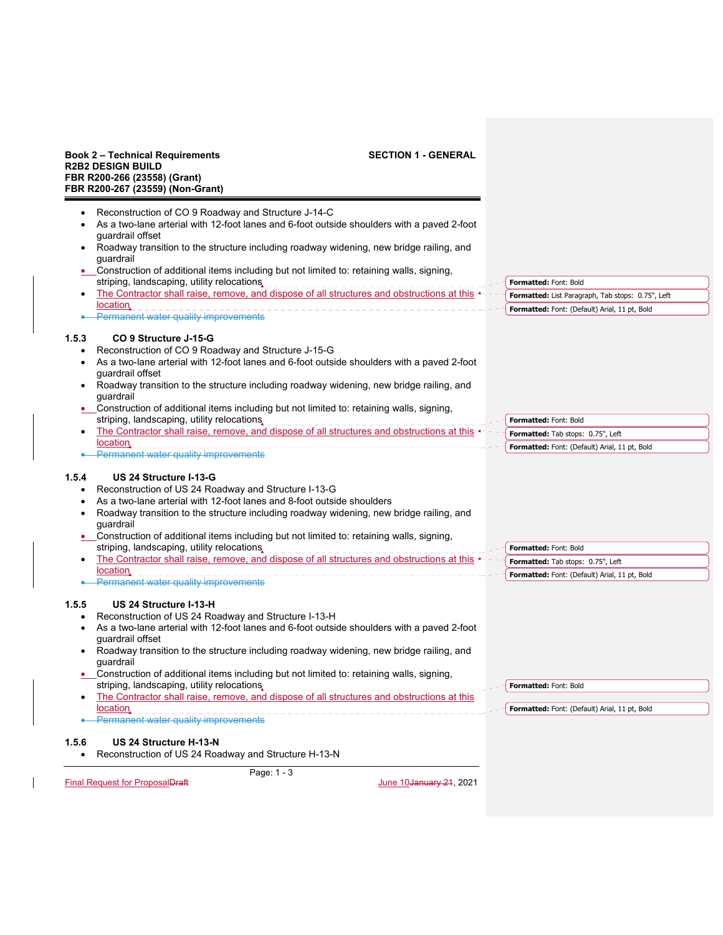**Formatted:** Font: Bold

**Formatted:** Font: Bold

- Reconstruction of CO 9 Roadway and Structure J-14-C
- As a two-lane arterial with 12-foot lanes and 6-foot outside shoulders with a paved 2-foot guardrail offset
- Roadway transition to the structure including roadway widening, new bridge railing, and guardrail
- Construction of additional items including but not limited to: retaining walls, signing, striping, landscaping, utility relocations
- The Contractor shall raise, remove, and dispose of all structures and obstructions at this location **Formatted:** List Paragraph, Tab stops: 0.75", Left **Formatted:** Font: (Default) Arial, 11 pt, Bold
- Permanent water quality improvements

## **1.5.3 CO 9 Structure J-15-G**

- Reconstruction of CO 9 Roadway and Structure J-15-G
- As a two-lane arterial with 12-foot lanes and 6-foot outside shoulders with a paved 2-foot guardrail offset
- Roadway transition to the structure including roadway widening, new bridge railing, and guardrail
- Construction of additional items including but not limited to: retaining walls, signing, striping, landscaping, utility relocations **Formatted:** Font: Bold
- The Contractor shall raise, remove, and dispose of all structures and obstructions at this  $\leftarrow$ location Permanent water quality improvements **Formatted:** Tab stops: 0.75", Left **Formatted:** Font: (Default) Arial, 11 pt, Bold

## **1.5.4 US 24 Structure I-13-G**

- Reconstruction of US 24 Roadway and Structure I-13-G
- As a two-lane arterial with 12-foot lanes and 8-foot outside shoulders
- Roadway transition to the structure including roadway widening, new bridge railing, and guardrail
- Construction of additional items including but not limited to: retaining walls, signing, striping, landscaping, utility relocations
- The Contractor shall raise, remove, and dispose of all structures and obstructions at this **location •** Permanent water quality improvements **Formatted:** Font: Bold **Formatted:** Tab stops: 0.75", Left **Formatted:** Font: (Default) Arial, 11 pt, Bold

## **1.5.5 US 24 Structure I-13-H**

- Reconstruction of US 24 Roadway and Structure I-13-H
- As a two-lane arterial with 12-foot lanes and 6-foot outside shoulders with a paved 2-foot guardrail offset
- Roadway transition to the structure including roadway widening, new bridge railing, and guardrail
- Construction of additional items including but not limited to: retaining walls, signing, striping, landscaping, utility relocations
- The Contractor shall raise, remove, and dispose of all structures and obstructions at this location **Formatted:** Font: (Default) Arial, 11 pt, Bold
- Permanent water quality improvements

## **1.5.6 US 24 Structure H-13-N**

Reconstruction of US 24 Roadway and Structure H-13-N

Page: 1 - 3

Final Request for ProposalDraft June 10January 21, 2021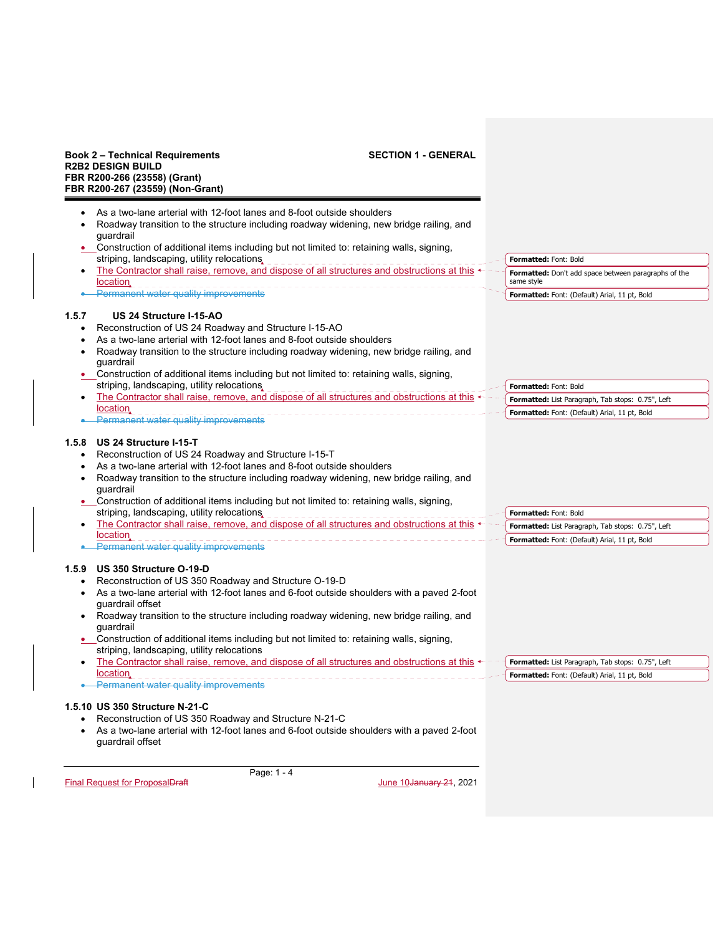$\mathbf{l}$ 

|           | FBR R200-267 (23559) (Non-Grant)                                                                                    |                                                      |
|-----------|---------------------------------------------------------------------------------------------------------------------|------------------------------------------------------|
|           | As a two-lane arterial with 12-foot lanes and 8-foot outside shoulders                                              |                                                      |
|           | Roadway transition to the structure including roadway widening, new bridge railing, and                             |                                                      |
|           | quardrail                                                                                                           |                                                      |
|           | • Construction of additional items including but not limited to: retaining walls, signing,                          |                                                      |
|           | striping, landscaping, utility relocations,                                                                         | Formatted: Font: Bold                                |
|           | The Contractor shall raise, remove, and dispose of all structures and obstructions at this $\overline{\phantom{a}}$ | Formatted: Don't add space between paragraphs of the |
|           | location.                                                                                                           | same style                                           |
|           | Permanent water quality improvements                                                                                | Formatted: Font: (Default) Arial, 11 pt, Bold        |
| 1.5.7     | US 24 Structure I-15-AO                                                                                             |                                                      |
| $\bullet$ | Reconstruction of US 24 Roadway and Structure I-15-AO                                                               |                                                      |
|           | As a two-lane arterial with 12-foot lanes and 8-foot outside shoulders                                              |                                                      |
|           | Roadway transition to the structure including roadway widening, new bridge railing, and<br>guardrail                |                                                      |
|           | • Construction of additional items including but not limited to: retaining walls, signing,                          |                                                      |
|           | striping, landscaping, utility relocations,                                                                         | Formatted: Font: Bold                                |
|           | The Contractor shall raise, remove, and dispose of all structures and obstructions at this                          | Formatted: List Paragraph, Tab stops: 0.75", Left    |
|           | location.                                                                                                           | Formatted: Font: (Default) Arial, 11 pt, Bold        |
|           | <b>Permanent water quality improvements</b>                                                                         |                                                      |
| 1.5.8     | US 24 Structure I-15-T                                                                                              |                                                      |
| $\bullet$ | Reconstruction of US 24 Roadway and Structure I-15-T                                                                |                                                      |
|           | As a two-lane arterial with 12-foot lanes and 8-foot outside shoulders                                              |                                                      |
|           | Roadway transition to the structure including roadway widening, new bridge railing, and                             |                                                      |
|           | quardrail                                                                                                           |                                                      |
|           | Construction of additional items including but not limited to: retaining walls, signing,                            |                                                      |
|           | striping, landscaping, utility relocations,                                                                         | Formatted: Font: Bold                                |
|           | The Contractor shall raise, remove, and dispose of all structures and obstructions at this<br>location              | Formatted: List Paragraph, Tab stops: 0.75", Left    |
|           | <b>Permanent water quality improvements</b>                                                                         | Formatted: Font: (Default) Arial, 11 pt, Bold        |
|           | 1.5.9 US 350 Structure O-19-D                                                                                       |                                                      |
|           | Reconstruction of US 350 Roadway and Structure O-19-D                                                               |                                                      |
|           | As a two-lane arterial with 12-foot lanes and 6-foot outside shoulders with a paved 2-foot                          |                                                      |
|           | guardrail offset                                                                                                    |                                                      |
|           | Roadway transition to the structure including roadway widening, new bridge railing, and                             |                                                      |
|           | guardrail                                                                                                           |                                                      |
|           | • Construction of additional items including but not limited to: retaining walls, signing,                          |                                                      |
|           | striping, landscaping, utility relocations                                                                          |                                                      |
|           | The Contractor shall raise, remove, and dispose of all structures and obstructions at this $\leftarrow$             | Formatted: List Paragraph, Tab stops: 0.75", Left    |
|           | location.                                                                                                           | Formatted: Font: (Default) Arial, 11 pt, Bold        |
|           | <b>Permanent water quality improvements</b>                                                                         |                                                      |
|           | 1.5.10 US 350 Structure N-21-C                                                                                      |                                                      |
|           | Reconstruction of US 350 Roadway and Structure N-21-C                                                               |                                                      |
| $\bullet$ | As a two-lane arterial with 12-foot lanes and 6-foot outside shoulders with a paved 2-foot<br>guardrail offset      |                                                      |
|           | Page: 1 - 4                                                                                                         |                                                      |
|           | Final Request for ProposalDraft<br>June 10 <del>January 21</del> , 2021                                             |                                                      |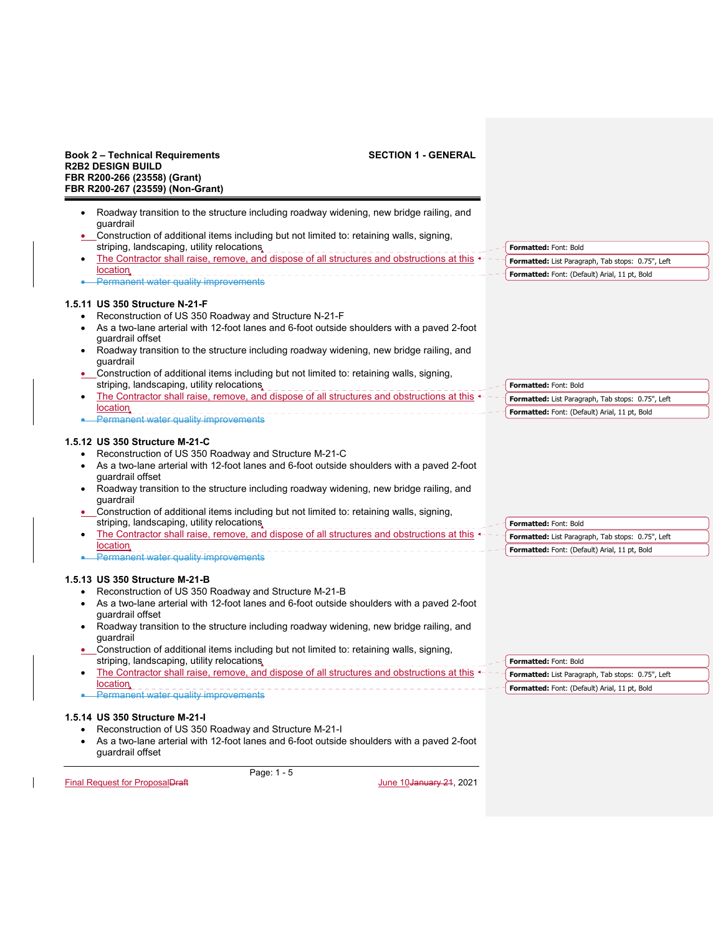### **Book 2 – Technical Requirements SECTION 1 - GENERAL R2B2 DESIGN BUILD FBR R200-266 (23558) (Grant) FBR R200-267 (23559) (Non-Grant)**  Page: 1 - 5 Final Request for ProposalDraft June 10January 21, 2021 Roadway transition to the structure including roadway widening, new bridge railing, and guardrail Construction of additional items including but not limited to: retaining walls, signing, striping, landscaping, utility relocations The Contractor shall raise, remove, and dispose of all structures and obstructions at this **location •** Permanent water quality improvements **1.5.11 US 350 Structure N-21-F**  Reconstruction of US 350 Roadway and Structure N-21-F As a two-lane arterial with 12-foot lanes and 6-foot outside shoulders with a paved 2-foot guardrail offset • Roadway transition to the structure including roadway widening, new bridge railing, and guardrail Construction of additional items including but not limited to: retaining walls, signing, striping, landscaping, utility relocations The Contractor shall raise, remove, and dispose of all structures and obstructions at this **location •** Permanent water quality improvements **1.5.12 US 350 Structure M-21-C**  Reconstruction of US 350 Roadway and Structure M-21-C As a two-lane arterial with 12-foot lanes and 6-foot outside shoulders with a paved 2-foot guardrail offset Roadway transition to the structure including roadway widening, new bridge railing, and guardrail Construction of additional items including but not limited to: retaining walls, signing, striping, landscaping, utility relocations, The Contractor shall raise, remove, and dispose of all structures and obstructions at this **location •** Permanent water quality improvements **1.5.13 US 350 Structure M-21-B**  Reconstruction of US 350 Roadway and Structure M-21-B As a two-lane arterial with 12-foot lanes and 6-foot outside shoulders with a paved 2-foot guardrail offset • Roadway transition to the structure including roadway widening, new bridge railing, and guardrail Construction of additional items including but not limited to: retaining walls, signing, striping, landscaping, utility relocations The Contractor shall raise, remove, and dispose of all structures and obstructions at this  $\leftarrow$  **location •** Permanent water quality improvements **1.5.14 US 350 Structure M-21-I**  Reconstruction of US 350 Roadway and Structure M-21-I As a two-lane arterial with 12-foot lanes and 6-foot outside shoulders with a paved 2-foot guardrail offset **Formatted:** Font: Bold **Formatted:** List Paragraph, Tab stops: 0.75", Left **Formatted:** Font: (Default) Arial, 11 pt, Bold **Formatted:** Font: Bold **Formatted:** List Paragraph, Tab stops: 0.75", Left **Formatted:** Font: (Default) Arial, 11 pt, Bold **Formatted:** Font: Bold **Formatted:** List Paragraph, Tab stops: 0.75", Left **Formatted:** Font: (Default) Arial, 11 pt, Bold **Formatted:** Font: Bold **Formatted:** List Paragraph, Tab stops: 0.75", Left **Formatted:** Font: (Default) Arial, 11 pt, Bold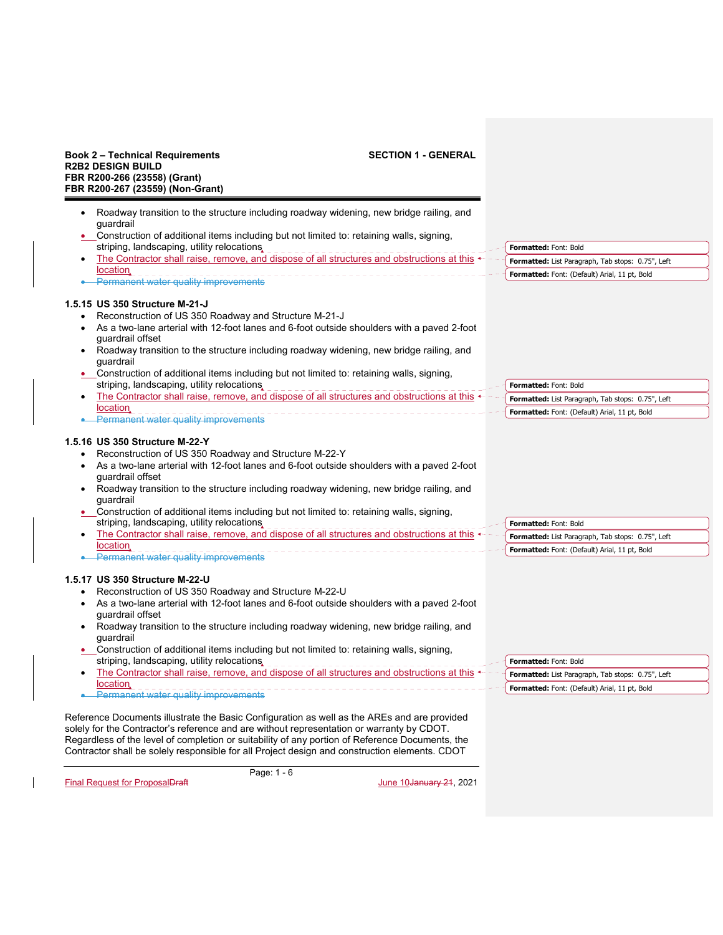| <b>SECTION 1 - GENERAL</b><br><b>Book 2 – Technical Requirements</b><br><b>R2B2 DESIGN BUILD</b><br>FBR R200-266 (23558) (Grant)<br>FBR R200-267 (23559) (Non-Grant)                                                                                                                                                                                                                                                                                                                                                                                                                                                                 |                                                                                                                             |
|--------------------------------------------------------------------------------------------------------------------------------------------------------------------------------------------------------------------------------------------------------------------------------------------------------------------------------------------------------------------------------------------------------------------------------------------------------------------------------------------------------------------------------------------------------------------------------------------------------------------------------------|-----------------------------------------------------------------------------------------------------------------------------|
| Roadway transition to the structure including roadway widening, new bridge railing, and<br>quardrail<br>_Construction of additional items including but not limited to: retaining walls, signing,                                                                                                                                                                                                                                                                                                                                                                                                                                    |                                                                                                                             |
| striping, landscaping, utility relocations,                                                                                                                                                                                                                                                                                                                                                                                                                                                                                                                                                                                          | Formatted: Font: Bold                                                                                                       |
| The Contractor shall raise, remove, and dispose of all structures and obstructions at this $\leftarrow$                                                                                                                                                                                                                                                                                                                                                                                                                                                                                                                              | Formatted: List Paragraph, Tab stops: 0.75", Left                                                                           |
| location.<br>Permanent water quality improvements                                                                                                                                                                                                                                                                                                                                                                                                                                                                                                                                                                                    | Formatted: Font: (Default) Arial, 11 pt, Bold                                                                               |
| 1.5.15 US 350 Structure M-21-J<br>Reconstruction of US 350 Roadway and Structure M-21-J<br>As a two-lane arterial with 12-foot lanes and 6-foot outside shoulders with a paved 2-foot<br>quardrail offset<br>Roadway transition to the structure including roadway widening, new bridge railing, and<br>guardrail<br>• Construction of additional items including but not limited to: retaining walls, signing,<br>striping, landscaping, utility relocations,<br>The Contractor shall raise, remove, and dispose of all structures and obstructions at this $\leftarrow$<br>٠<br>location.<br>Permanent water quality improvements  | Formatted: Font: Bold<br>Formatted: List Paragraph, Tab stops: 0.75", Left<br>Formatted: Font: (Default) Arial, 11 pt, Bold |
| 1.5.16 US 350 Structure M-22-Y<br>Reconstruction of US 350 Roadway and Structure M-22-Y<br>As a two-lane arterial with 12-foot lanes and 6-foot outside shoulders with a paved 2-foot<br>guardrail offset<br>Roadway transition to the structure including roadway widening, new bridge railing, and<br>٠<br>guardrail<br>Construction of additional items including but not limited to: retaining walls, signing,<br>striping, landscaping, utility relocations,<br>The Contractor shall raise, remove, and dispose of all structures and obstructions at this<br>location.<br>• Permanent water quality improvements               | Formatted: Font: Bold<br>Formatted: List Paragraph, Tab stops: 0.75", Left<br>Formatted: Font: (Default) Arial, 11 pt, Bold |
| 1.5.17 US 350 Structure M-22-U<br>Reconstruction of US 350 Roadway and Structure M-22-U<br>As a two-lane arterial with 12-foot lanes and 6-foot outside shoulders with a paved 2-foot<br>guardrail offset<br>Roadway transition to the structure including roadway widening, new bridge railing, and<br>٠<br>quardrail<br>Construction of additional items including but not limited to: retaining walls, signing,<br>striping, landscaping, utility relocations,<br>-------------------------------<br>The Contractor shall raise, remove, and dispose of all structures and obstructions at this $\triangleleft$<br>٠<br>location. | Formatted: Font: Bold<br>Formatted: List Paragraph, Tab stops: 0.75", Left<br>Formatted: Font: (Default) Arial, 11 pt, Bold |
| Permanent water quality improvements<br>Reference Documents illustrate the Basic Configuration as well as the AREs and are provided<br>solely for the Contractor's reference and are without representation or warranty by CDOT.<br>Regardless of the level of completion or suitability of any portion of Reference Documents, the<br>Contractor shall be solely responsible for all Project design and construction elements. CDOT<br>Page: 1 - 6                                                                                                                                                                                  |                                                                                                                             |

Final Request for ProposalDraft Christian Control of Christian Museum June 10January 21, 2021

 $\mathbf{I}$